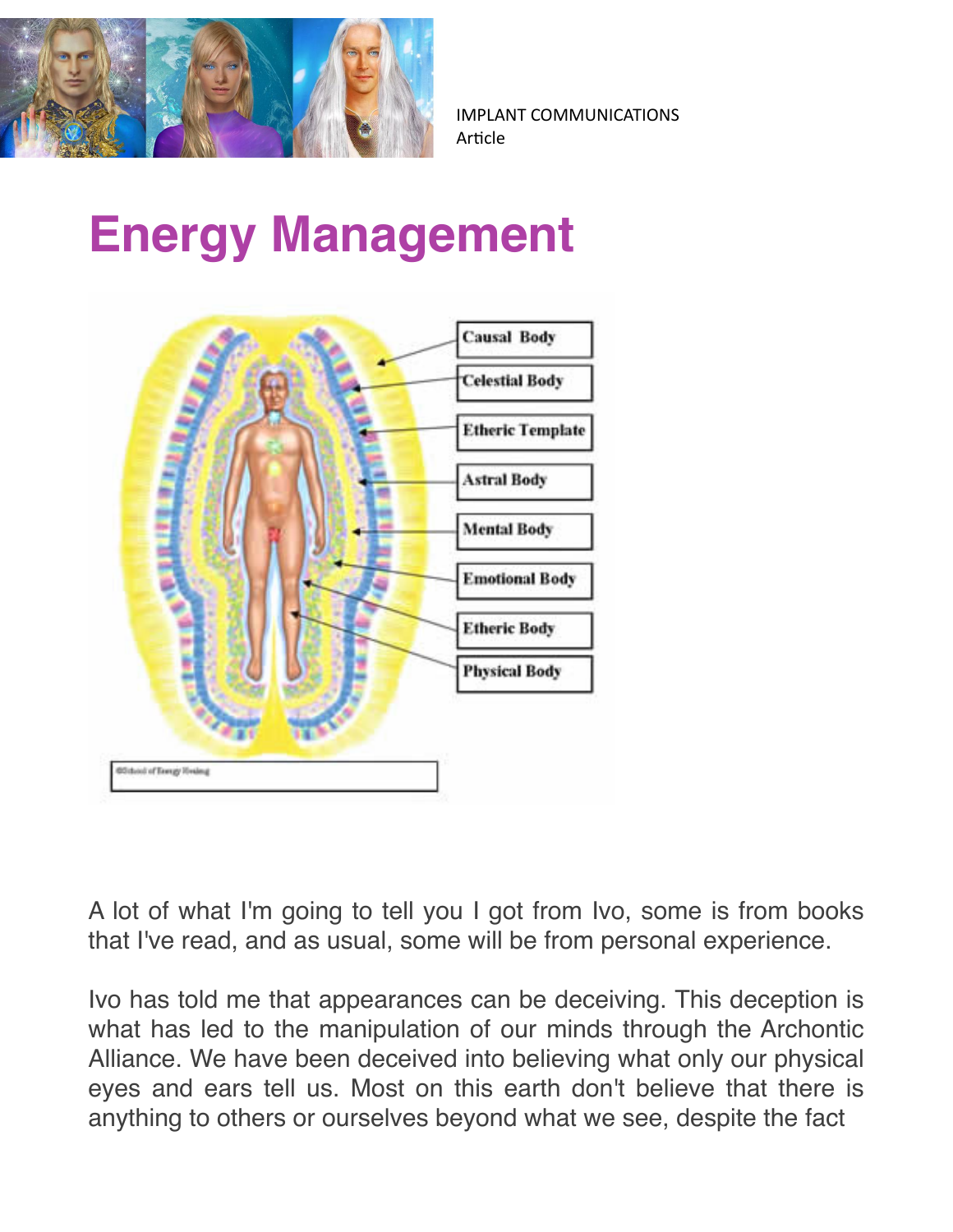

## **Energy Management**



A lot of what I'm going to tell you I got from Ivo, some is from books that I've read, and as usual, some will be from personal experience.

Ivo has told me that appearances can be deceiving. This deception is what has led to the manipulation of our minds through the Archontic Alliance. We have been deceived into believing what only our physical eyes and ears tell us. Most on this earth don't believe that there is anything to others or ourselves beyond what we see, despite the fact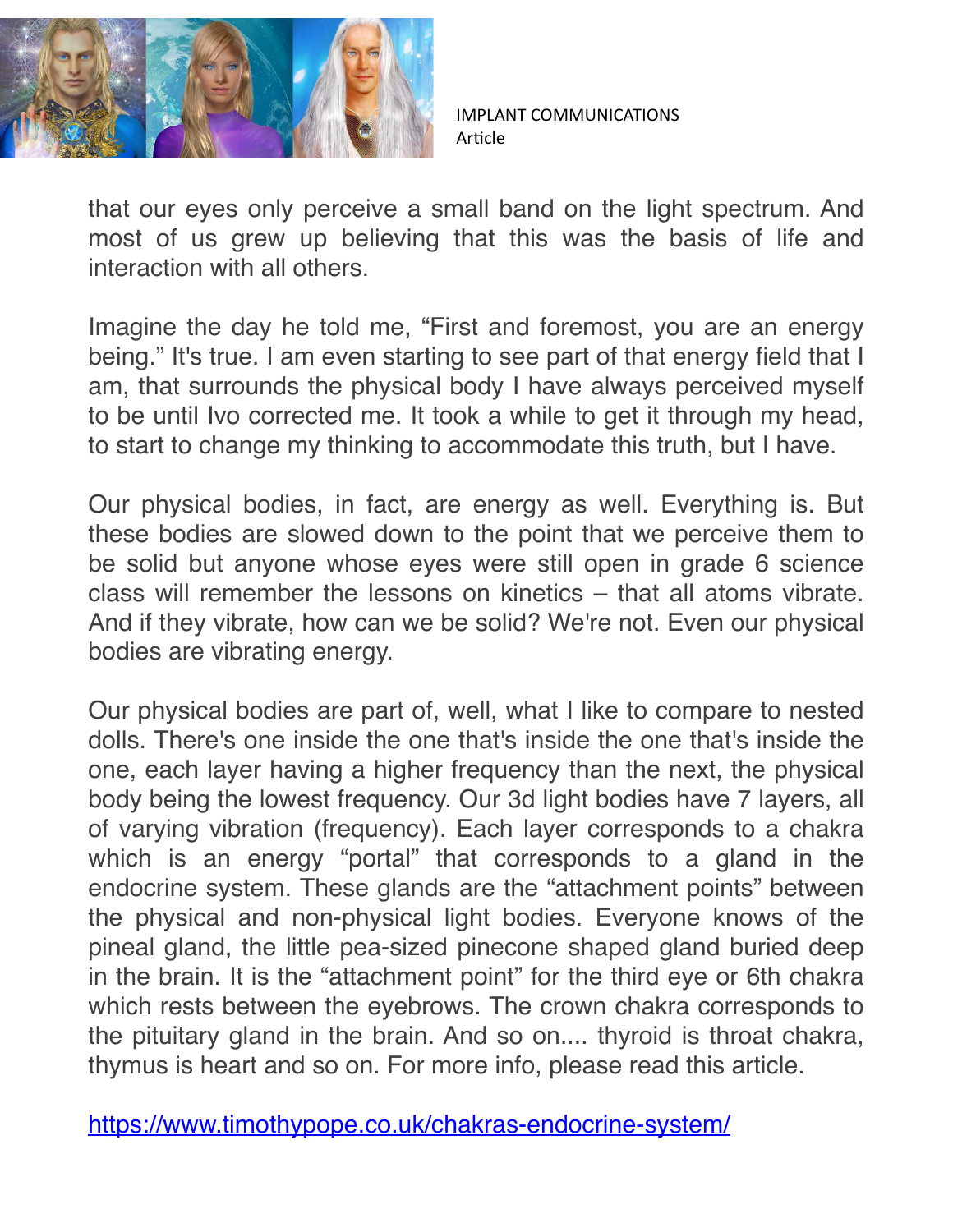

that our eyes only perceive a small band on the light spectrum. And most of us grew up believing that this was the basis of life and interaction with all others.

Imagine the day he told me, "First and foremost, you are an energy being." It's true. I am even starting to see part of that energy field that I am, that surrounds the physical body I have always perceived myself to be until Ivo corrected me. It took a while to get it through my head, to start to change my thinking to accommodate this truth, but I have.

Our physical bodies, in fact, are energy as well. Everything is. But these bodies are slowed down to the point that we perceive them to be solid but anyone whose eyes were still open in grade 6 science class will remember the lessons on kinetics – that all atoms vibrate. And if they vibrate, how can we be solid? We're not. Even our physical bodies are vibrating energy.

Our physical bodies are part of, well, what I like to compare to nested dolls. There's one inside the one that's inside the one that's inside the one, each layer having a higher frequency than the next, the physical body being the lowest frequency. Our 3d light bodies have 7 layers, all of varying vibration (frequency). Each layer corresponds to a chakra which is an energy "portal" that corresponds to a gland in the endocrine system. These glands are the "attachment points" between the physical and non-physical light bodies. Everyone knows of the pineal gland, the little pea-sized pinecone shaped gland buried deep in the brain. It is the "attachment point" for the third eye or 6th chakra which rests between the eyebrows. The crown chakra corresponds to the pituitary gland in the brain. And so on.... thyroid is throat chakra, thymus is heart and so on. For more info, please read this article.

<https://www.timothypope.co.uk/chakras-endocrine-system/>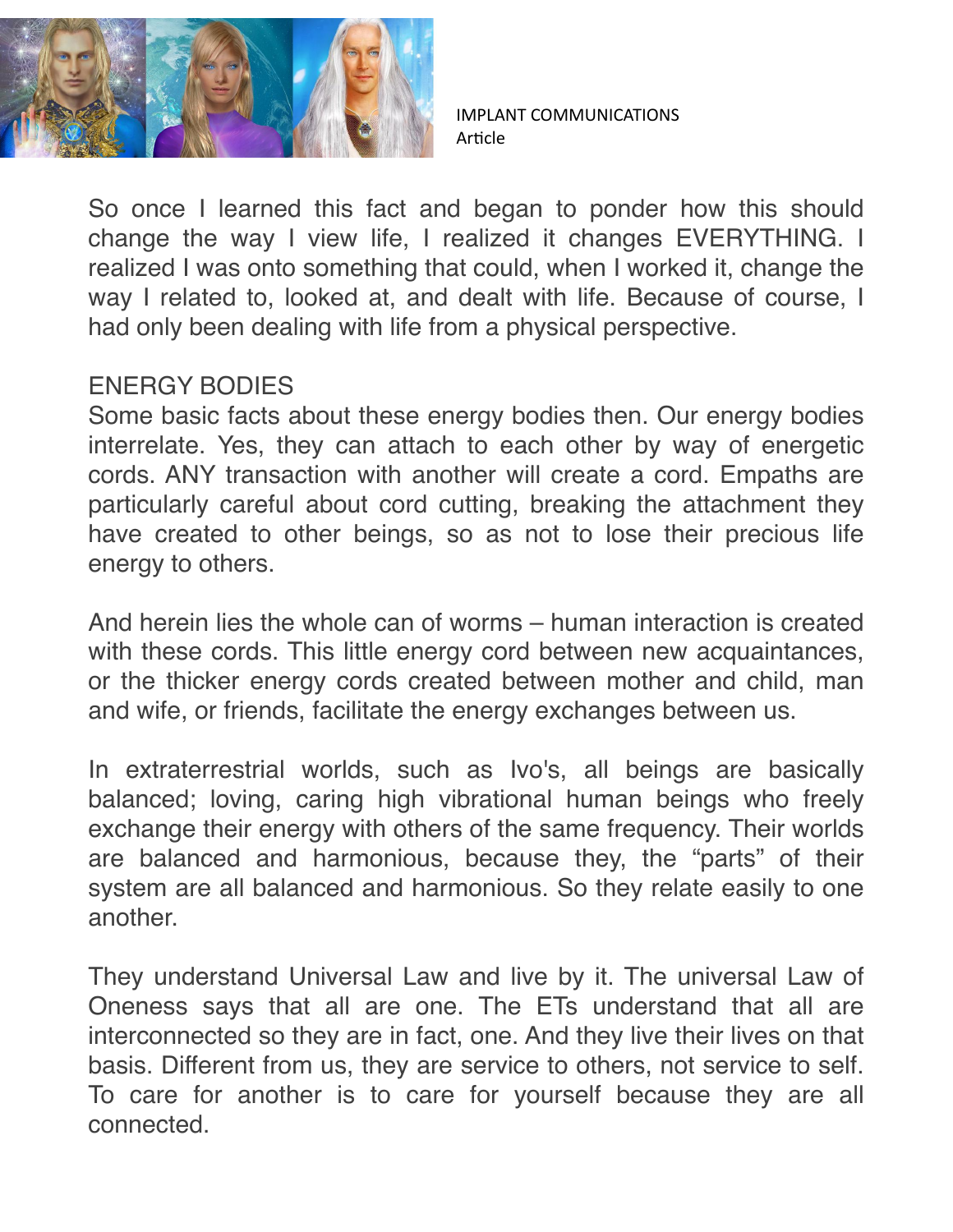

So once I learned this fact and began to ponder how this should change the way I view life, I realized it changes EVERYTHING. I realized I was onto something that could, when I worked it, change the way I related to, looked at, and dealt with life. Because of course, I had only been dealing with life from a physical perspective.

## ENERGY BODIES

Some basic facts about these energy bodies then. Our energy bodies interrelate. Yes, they can attach to each other by way of energetic cords. ANY transaction with another will create a cord. Empaths are particularly careful about cord cutting, breaking the attachment they have created to other beings, so as not to lose their precious life energy to others.

And herein lies the whole can of worms – human interaction is created with these cords. This little energy cord between new acquaintances, or the thicker energy cords created between mother and child, man and wife, or friends, facilitate the energy exchanges between us.

In extraterrestrial worlds, such as Ivo's, all beings are basically balanced; loving, caring high vibrational human beings who freely exchange their energy with others of the same frequency. Their worlds are balanced and harmonious, because they, the "parts" of their system are all balanced and harmonious. So they relate easily to one another.

They understand Universal Law and live by it. The universal Law of Oneness says that all are one. The ETs understand that all are interconnected so they are in fact, one. And they live their lives on that basis. Different from us, they are service to others, not service to self. To care for another is to care for yourself because they are all connected.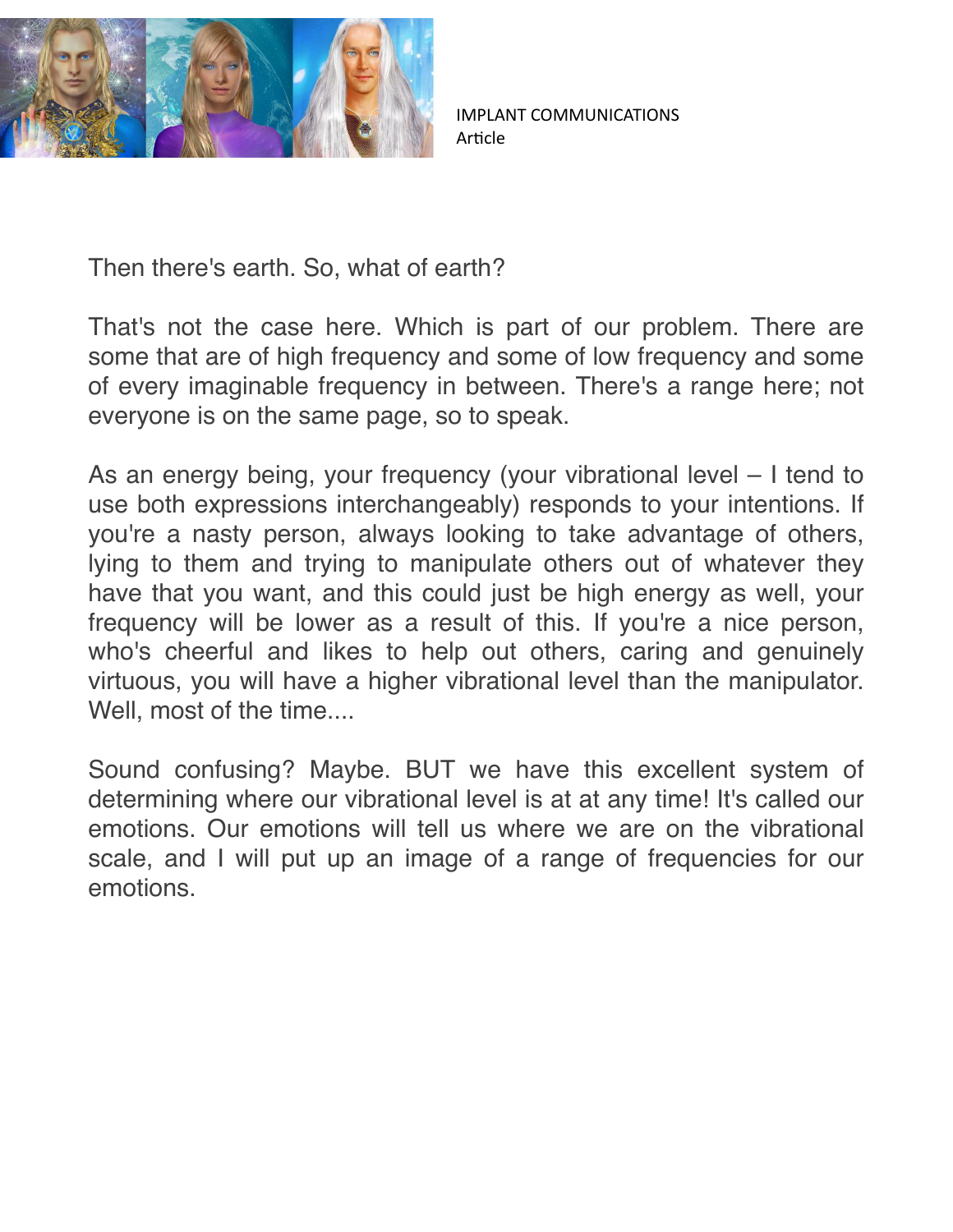

Then there's earth. So, what of earth?

That's not the case here. Which is part of our problem. There are some that are of high frequency and some of low frequency and some of every imaginable frequency in between. There's a range here; not everyone is on the same page, so to speak.

As an energy being, your frequency (your vibrational level – I tend to use both expressions interchangeably) responds to your intentions. If you're a nasty person, always looking to take advantage of others, lying to them and trying to manipulate others out of whatever they have that you want, and this could just be high energy as well, your frequency will be lower as a result of this. If you're a nice person, who's cheerful and likes to help out others, caring and genuinely virtuous, you will have a higher vibrational level than the manipulator. Well, most of the time....

Sound confusing? Maybe. BUT we have this excellent system of determining where our vibrational level is at at any time! It's called our emotions. Our emotions will tell us where we are on the vibrational scale, and I will put up an image of a range of frequencies for our emotions.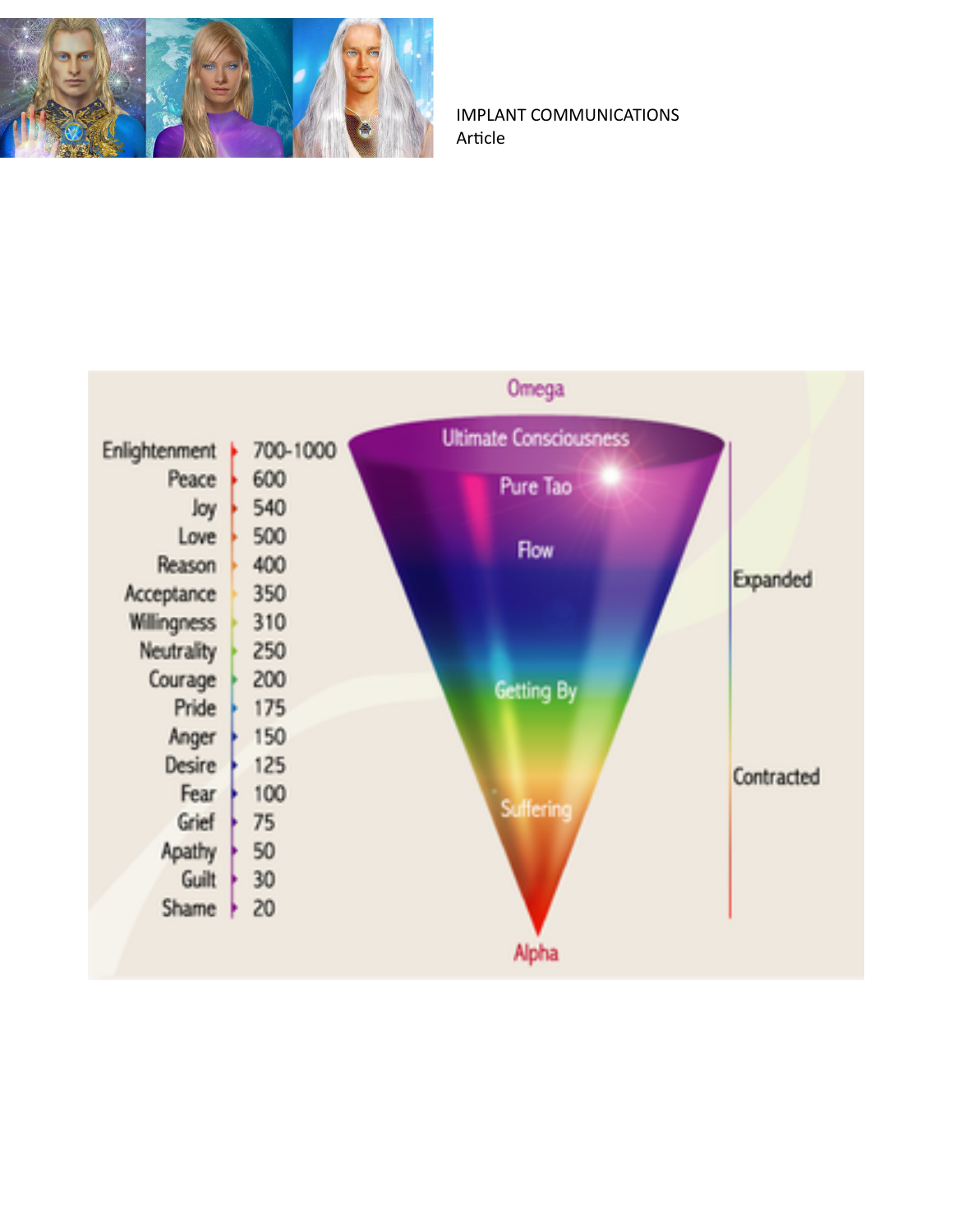

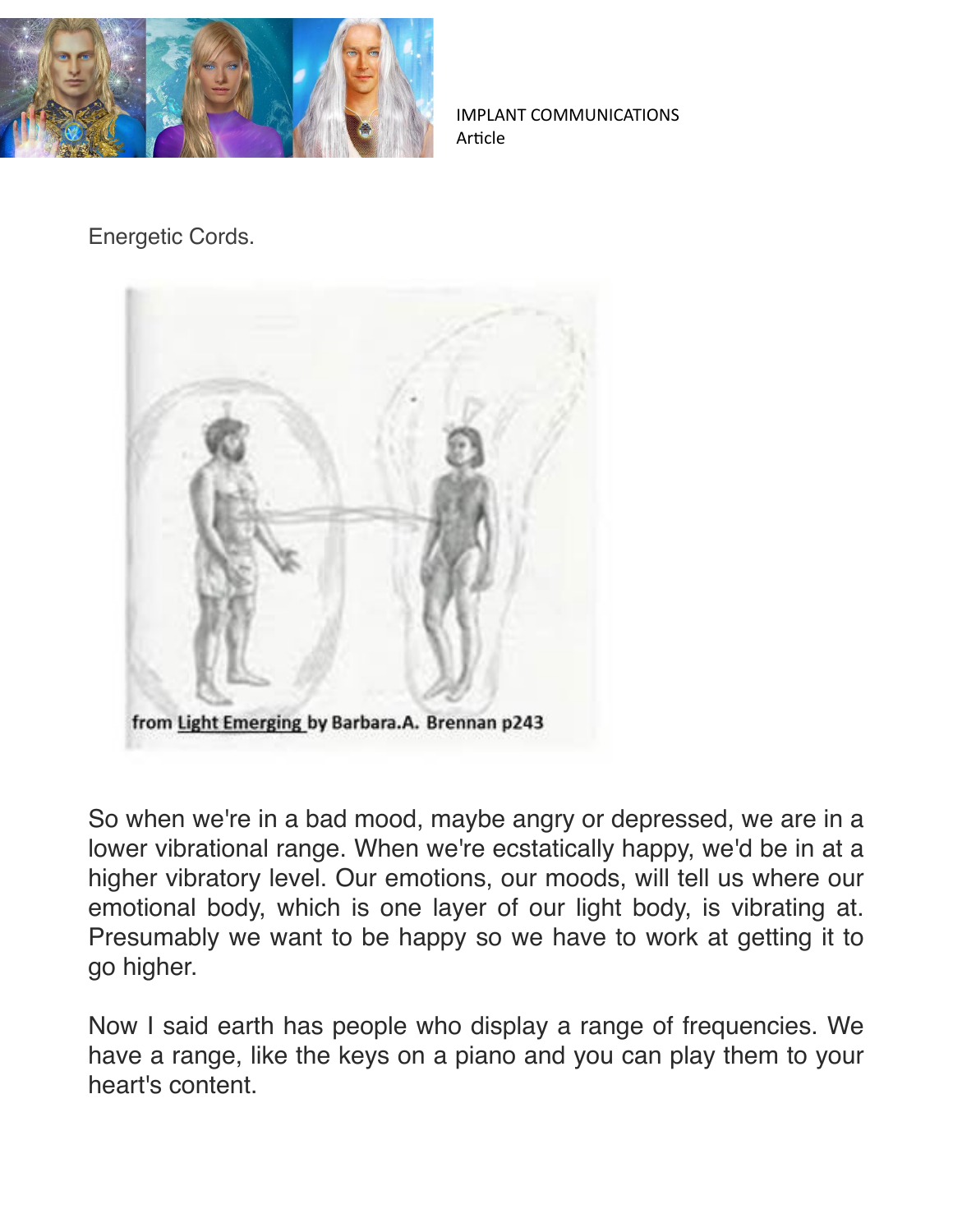

Energetic Cords.



So when we're in a bad mood, maybe angry or depressed, we are in a lower vibrational range. When we're ecstatically happy, we'd be in at a higher vibratory level. Our emotions, our moods, will tell us where our emotional body, which is one layer of our light body, is vibrating at. Presumably we want to be happy so we have to work at getting it to go higher.

Now I said earth has people who display a range of frequencies. We have a range, like the keys on a piano and you can play them to your heart's content.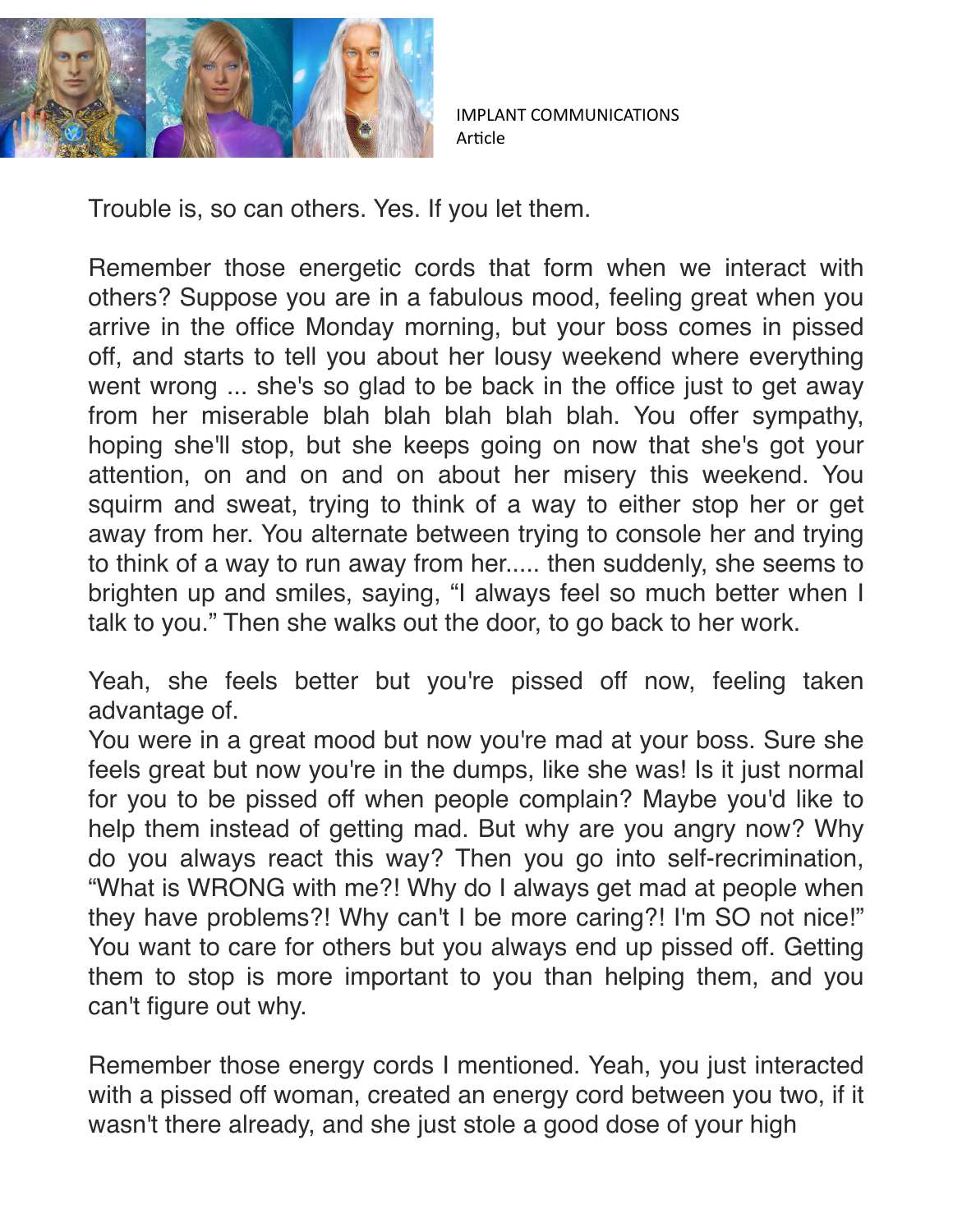

Trouble is, so can others. Yes. If you let them.

Remember those energetic cords that form when we interact with others? Suppose you are in a fabulous mood, feeling great when you arrive in the office Monday morning, but your boss comes in pissed off, and starts to tell you about her lousy weekend where everything went wrong ... she's so glad to be back in the office just to get away from her miserable blah blah blah blah blah. You offer sympathy, hoping she'll stop, but she keeps going on now that she's got your attention, on and on and on about her misery this weekend. You squirm and sweat, trying to think of a way to either stop her or get away from her. You alternate between trying to console her and trying to think of a way to run away from her..... then suddenly, she seems to brighten up and smiles, saying, "I always feel so much better when I talk to you." Then she walks out the door, to go back to her work.

Yeah, she feels better but you're pissed off now, feeling taken advantage of.

You were in a great mood but now you're mad at your boss. Sure she feels great but now you're in the dumps, like she was! Is it just normal for you to be pissed off when people complain? Maybe you'd like to help them instead of getting mad. But why are you angry now? Why do you always react this way? Then you go into self-recrimination, "What is WRONG with me?! Why do I always get mad at people when they have problems?! Why can't I be more caring?! I'm SO not nice!" You want to care for others but you always end up pissed off. Getting them to stop is more important to you than helping them, and you can't figure out why.

Remember those energy cords I mentioned. Yeah, you just interacted with a pissed off woman, created an energy cord between you two, if it wasn't there already, and she just stole a good dose of your high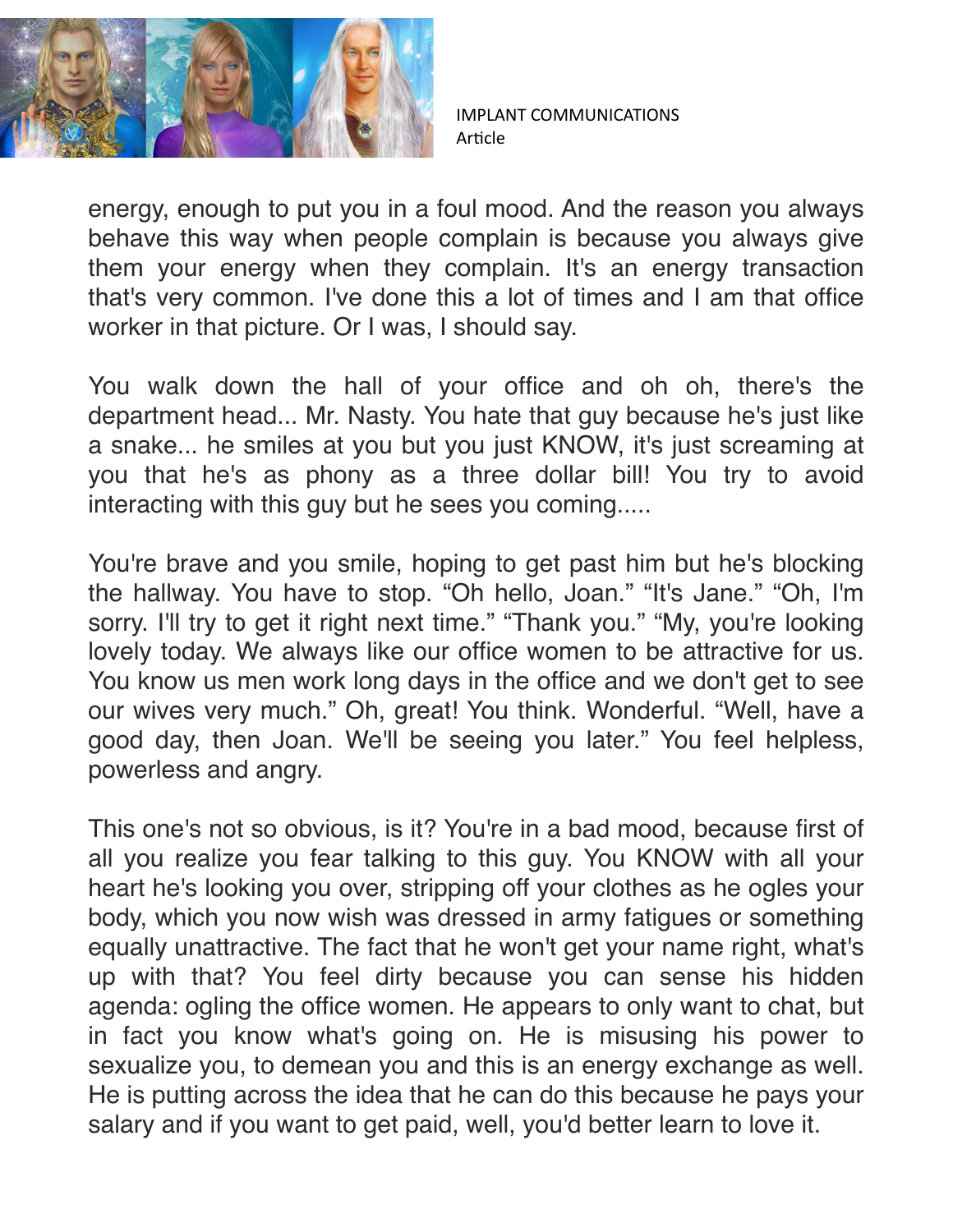

energy, enough to put you in a foul mood. And the reason you always behave this way when people complain is because you always give them your energy when they complain. It's an energy transaction that's very common. I've done this a lot of times and I am that office worker in that picture. Or I was, I should say.

You walk down the hall of your office and oh oh, there's the department head... Mr. Nasty. You hate that guy because he's just like a snake... he smiles at you but you just KNOW, it's just screaming at you that he's as phony as a three dollar bill! You try to avoid interacting with this guy but he sees you coming.....

You're brave and you smile, hoping to get past him but he's blocking the hallway. You have to stop. "Oh hello, Joan." "It's Jane." "Oh, I'm sorry. I'll try to get it right next time." "Thank you." "My, you're looking lovely today. We always like our office women to be attractive for us. You know us men work long days in the office and we don't get to see our wives very much." Oh, great! You think. Wonderful. "Well, have a good day, then Joan. We'll be seeing you later." You feel helpless, powerless and angry.

This one's not so obvious, is it? You're in a bad mood, because first of all you realize you fear talking to this guy. You KNOW with all your heart he's looking you over, stripping off your clothes as he ogles your body, which you now wish was dressed in army fatigues or something equally unattractive. The fact that he won't get your name right, what's up with that? You feel dirty because you can sense his hidden agenda: ogling the office women. He appears to only want to chat, but in fact you know what's going on. He is misusing his power to sexualize you, to demean you and this is an energy exchange as well. He is putting across the idea that he can do this because he pays your salary and if you want to get paid, well, you'd better learn to love it.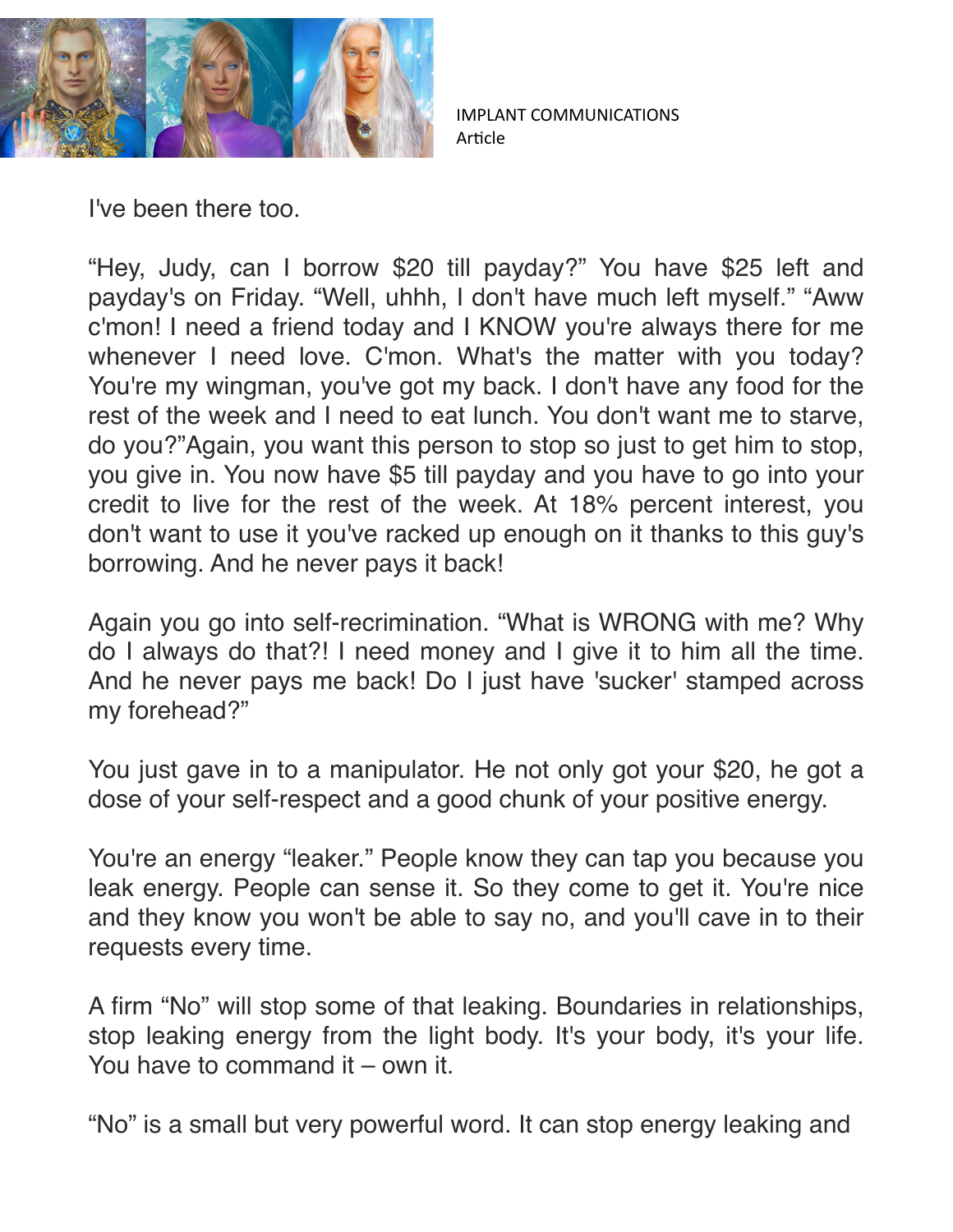

I've been there too.

"Hey, Judy, can I borrow \$20 till payday?" You have \$25 left and payday's on Friday. "Well, uhhh, I don't have much left myself." "Aww c'mon! I need a friend today and I KNOW you're always there for me whenever I need love. C'mon. What's the matter with you today? You're my wingman, you've got my back. I don't have any food for the rest of the week and I need to eat lunch. You don't want me to starve, do you?"Again, you want this person to stop so just to get him to stop, you give in. You now have \$5 till payday and you have to go into your credit to live for the rest of the week. At 18% percent interest, you don't want to use it you've racked up enough on it thanks to this guy's borrowing. And he never pays it back!

Again you go into self-recrimination. "What is WRONG with me? Why do I always do that?! I need money and I give it to him all the time. And he never pays me back! Do I just have 'sucker' stamped across my forehead?"

You just gave in to a manipulator. He not only got your \$20, he got a dose of your self-respect and a good chunk of your positive energy.

You're an energy "leaker." People know they can tap you because you leak energy. People can sense it. So they come to get it. You're nice and they know you won't be able to say no, and you'll cave in to their requests every time.

A firm "No" will stop some of that leaking. Boundaries in relationships, stop leaking energy from the light body. It's your body, it's your life. You have to command it – own it.

"No" is a small but very powerful word. It can stop energy leaking and